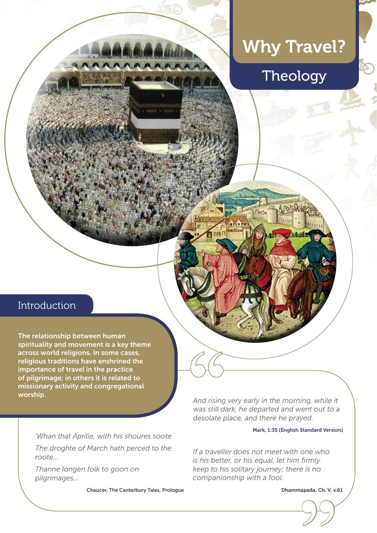# Why Travel?

## Theology

### Introduction

The relationship between human spirituality and movement is a key theme across world religions. In some cases, religious traditions have enshrined the importance of travel in the practice of pilgrimage; in others it is related to missionary activity and congregational worship.

*'Whan that Aprille, with his shoures soote*

*The droghte of March hath perced to the roote…*

*Thanne longen folk to goon on pilgrimages…*

Chaucer, The Canterbury Tales, Prologue

*And rising very early in the morning, while it was still dark, he departed and went out to a desolate place, and there he prayed.*  **"**

#### Mark, 1:35 [English Standard Version]

*If a traveller does not meet with one who is his better, or his equal, let him firmly keep to his solitary journey; there is no companionship with a fool.*  apada, Ch. V, v.

Dhammapada, Ch. V, v.61